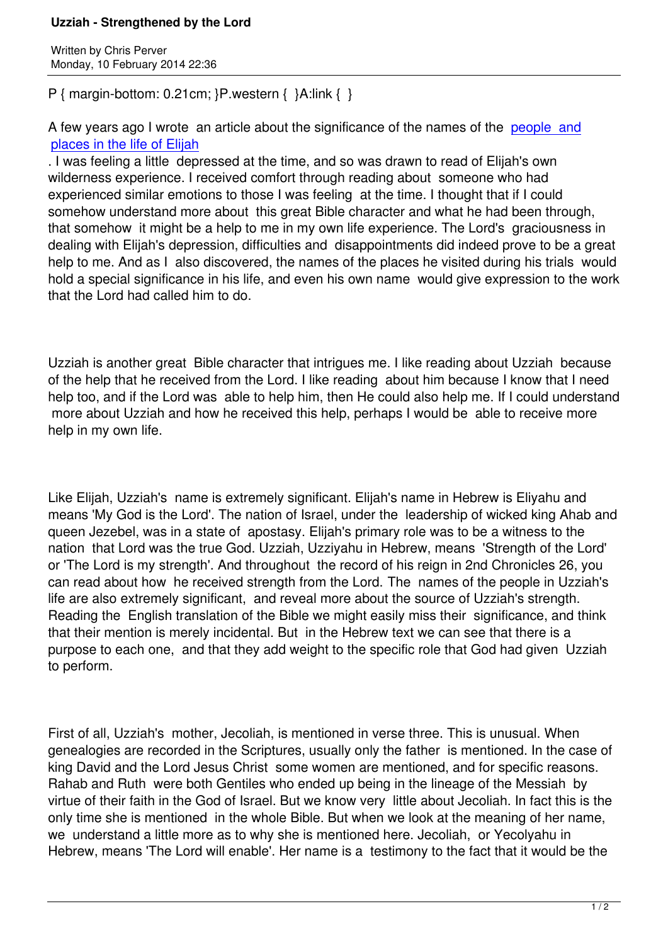P { margin-bottom:  $0.21$ cm;  $\{P$ .western {  $\{A:link\}$  }

A few years ago I wrote an article about the significance of the names of the people and places in the life of Elijah

. I was feeling a little depressed at the time, and so was drawn to read of Elijah's own wilderness experience. I received comfort through reading about someone w[ho had](https://www.prophecynews.co.uk/articles/37-thoughts/1480-the-people-and-places-in-the-life-of-elijah) [experienced similar emoti](https://www.prophecynews.co.uk/articles/37-thoughts/1480-the-people-and-places-in-the-life-of-elijah)ons to those I was feeling at the time. I thought that if I could somehow understand more about this great Bible character and what he had been through, that somehow it might be a help to me in my own life experience. The Lord's graciousness in dealing with Elijah's depression, difficulties and disappointments did indeed prove to be a great help to me. And as I also discovered, the names of the places he visited during his trials would hold a special significance in his life, and even his own name would give expression to the work that the Lord had called him to do.

Uzziah is another great Bible character that intrigues me. I like reading about Uzziah because of the help that he received from the Lord. I like reading about him because I know that I need help too, and if the Lord was able to help him, then He could also help me. If I could understand more about Uzziah and how he received this help, perhaps I would be able to receive more help in my own life.

Like Elijah, Uzziah's name is extremely significant. Elijah's name in Hebrew is Eliyahu and means 'My God is the Lord'. The nation of Israel, under the leadership of wicked king Ahab and queen Jezebel, was in a state of apostasy. Elijah's primary role was to be a witness to the nation that Lord was the true God. Uzziah, Uzziyahu in Hebrew, means 'Strength of the Lord' or 'The Lord is my strength'. And throughout the record of his reign in 2nd Chronicles 26, you can read about how he received strength from the Lord. The names of the people in Uzziah's life are also extremely significant, and reveal more about the source of Uzziah's strength. Reading the English translation of the Bible we might easily miss their significance, and think that their mention is merely incidental. But in the Hebrew text we can see that there is a purpose to each one, and that they add weight to the specific role that God had given Uzziah to perform.

First of all, Uzziah's mother, Jecoliah, is mentioned in verse three. This is unusual. When genealogies are recorded in the Scriptures, usually only the father is mentioned. In the case of king David and the Lord Jesus Christ some women are mentioned, and for specific reasons. Rahab and Ruth were both Gentiles who ended up being in the lineage of the Messiah by virtue of their faith in the God of Israel. But we know very little about Jecoliah. In fact this is the only time she is mentioned in the whole Bible. But when we look at the meaning of her name, we understand a little more as to why she is mentioned here. Jecoliah, or Yecolyahu in Hebrew, means 'The Lord will enable'. Her name is a testimony to the fact that it would be the